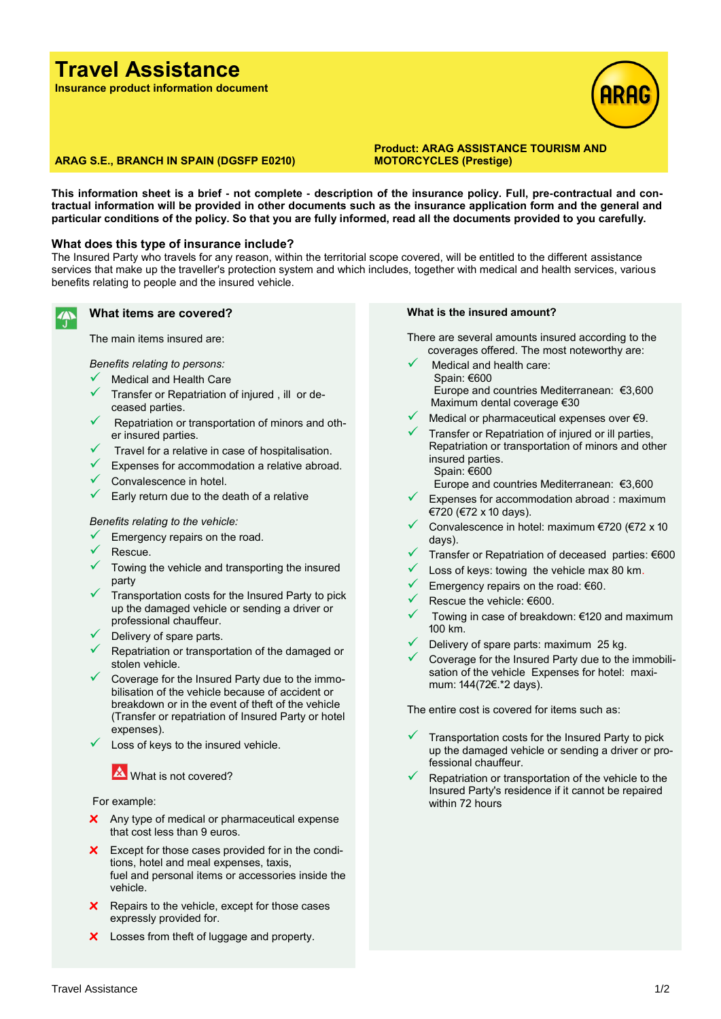# **Travel Assistance**

**Insurance product information document**



#### **ARAG S.E., BRANCH IN SPAIN (DGSFP E0210)**

**Product: ARAG ASSISTANCE TOURISM AND MOTORCYCLES (Prestige)**

**This information sheet is a brief - not complete - description of the insurance policy. Full, pre-contractual and contractual information will be provided in other documents such as the insurance application form and the general and particular conditions of the policy. So that you are fully informed, read all the documents provided to you carefully.**

#### **What does this type of insurance include?**

The Insured Party who travels for any reason, within the territorial scope covered, will be entitled to the different assistance services that make up the traveller's protection system and which includes, together with medical and health services, various benefits relating to people and the insured vehicle.

### **What items are covered?**

The main items insured are:

*Benefits relating to persons:*

- Medical and Health Care
- Transfer or Repatriation of injured, ill or deceased parties.
- Repatriation or transportation of minors and other insured parties.
- Travel for a relative in case of hospitalisation.
- $\checkmark$  Expenses for accommodation a relative abroad.
- $\checkmark$  Convalescence in hotel.
- $\checkmark$  Early return due to the death of a relative

#### *Benefits relating to the vehicle:*

- Emergency repairs on the road.
- Rescue.
- Towing the vehicle and transporting the insured party
- Transportation costs for the Insured Party to pick up the damaged vehicle or sending a driver or professional chauffeur.
- Delivery of spare parts.
- ✓ Repatriation or transportation of the damaged or stolen vehicle.
- Coverage for the Insured Party due to the immobilisation of the vehicle because of accident or breakdown or in the event of theft of the vehicle (Transfer or repatriation of Insured Party or hotel expenses).
- Loss of keys to the insured vehicle.

## **X** What is not covered?

#### For example:

- **x** Any type of medical or pharmaceutical expense that cost less than 9 euros.
- **x** Except for those cases provided for in the conditions, hotel and meal expenses, taxis, fuel and personal items or accessories inside the vehicle.
- **x** Repairs to the vehicle, except for those cases expressly provided for.
- **x** Losses from theft of luggage and property.

#### **What is the insured amount?**

There are several amounts insured according to the coverages offered. The most noteworthy are:

- Medical and health care: Spain: €600 Europe and countries Mediterranean: €3,600 Maximum dental coverage €30
- Medical or pharmaceutical expenses over €9.
- Transfer or Repatriation of injured or ill parties, Repatriation or transportation of minors and other insured parties. Spain: €600

Europe and countries Mediterranean: €3,600

- Expenses for accommodation abroad : maximum €720 (€72 x 10 days).
- Convalescence in hotel: maximum €720 (€72 x 10 days).
- Transfer or Repatriation of deceased parties: €600
- Loss of keys: towing the vehicle max 80 km.
- Emergency repairs on the road: €60.
- Rescue the vehicle: €600.
- ✓ Towing in case of breakdown: €120 and maximum 100 km.
- Delivery of spare parts: maximum 25 kg.
- Coverage for the Insured Party due to the immobilisation of the vehicle Expenses for hotel: maximum: 144(72€.\*2 days).

The entire cost is covered for items such as:

- Transportation costs for the Insured Party to pick up the damaged vehicle or sending a driver or professional chauffeur.
- Repatriation or transportation of the vehicle to the Insured Party's residence if it cannot be repaired within 72 hours